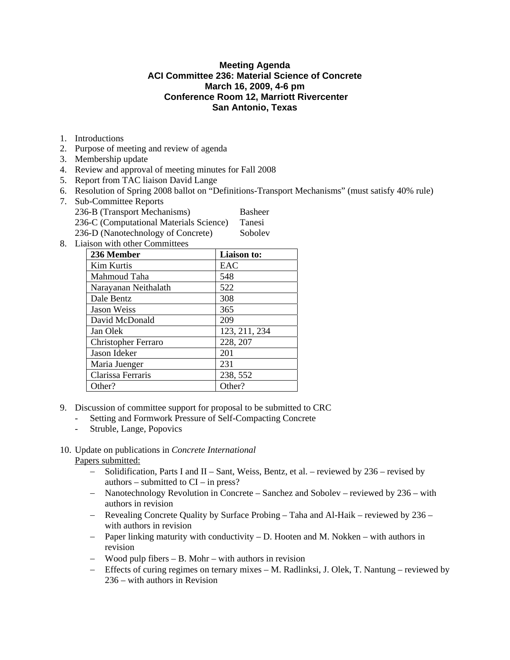# **Meeting Agenda ACI Committee 236: Material Science of Concrete March 16, 2009, 4-6 pm Conference Room 12, Marriott Rivercenter San Antonio, Texas**

- 1. Introductions
- 2. Purpose of meeting and review of agenda
- 3. Membership update
- 4. Review and approval of meeting minutes for Fall 2008
- 5. Report from TAC liaison David Lange
- 6. Resolution of Spring 2008 ballot on "Definitions-Transport Mechanisms" (must satisfy 40% rule)
- 7. Sub-Committee Reports
	- 236-B (Transport Mechanisms) Basheer 236-C (Computational Materials Science) Tanesi
	- 236-D (Nanotechnology of Concrete) Sobolev
- 8. Liaison with other Committees

| 236 Member                 | Liaison to:   |
|----------------------------|---------------|
| Kim Kurtis                 | EAC           |
| Mahmoud Taha               | 548           |
| Narayanan Neithalath       | 522           |
| Dale Bentz                 | 308           |
| Jason Weiss                | 365           |
| David McDonald             | 209           |
| Jan Olek                   | 123, 211, 234 |
| <b>Christopher Ferraro</b> | 228, 207      |
| Jason Ideker               | 201           |
| Maria Juenger              | 231           |
| Clarissa Ferraris          | 238, 552      |
| Other?                     | Other?        |

- 9. Discussion of committee support for proposal to be submitted to CRC
	- Setting and Formwork Pressure of Self-Compacting Concrete
	- Struble, Lange, Popovics

## 10. Update on publications in *Concrete International* Papers submitted:

- − Solidification, Parts I and II Sant, Weiss, Bentz, et al. reviewed by 236 revised by authors – submitted to  $CI$  – in press?
- − Nanotechnology Revolution in Concrete Sanchez and Sobolev reviewed by 236 with authors in revision
- − Revealing Concrete Quality by Surface Probing Taha and Al-Haik reviewed by 236 with authors in revision
- − Paper linking maturity with conductivity D. Hooten and M. Nokken with authors in revision
- − Wood pulp fibers B. Mohr with authors in revision
- − Effects of curing regimes on ternary mixes M. Radlinksi, J. Olek, T. Nantung reviewed by 236 – with authors in Revision